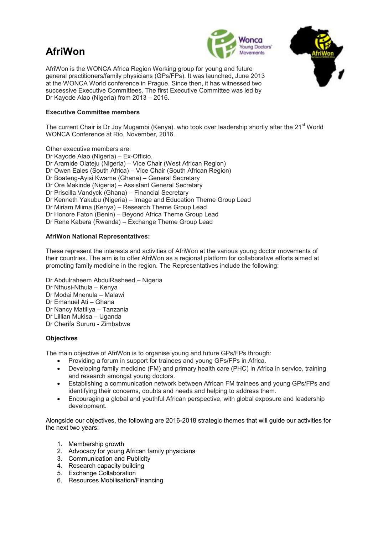# **AfriWon**





AfriWon is the WONCA Africa Region Working group for young and future general practitioners/family physicians (GPs/FPs). It was launched, June 2013 at the WONCA World conference in Prague. Since then, it has witnessed two successive Executive Committees. The first Executive Committee was led by Dr Kayode Alao (Nigeria) from 2013 – 2016.

### **Executive Committee members**

The current Chair is Dr Joy Mugambi (Kenya). who took over leadership shortly after the 21<sup>st</sup> World WONCA Conference at Rio, November, 2016.

Other executive members are: Dr Kayode Alao (Nigeria) – Ex-Officio. Dr Aramide Olateju (Nigeria) – Vice Chair (West African Region) Dr Owen Eales (South Africa) – Vice Chair (South African Region) Dr Boateng-Ayisi Kwame (Ghana) – General Secretary Dr Ore Makinde (Nigeria) – Assistant General Secretary Dr Priscilla Vandyck (Ghana) – Financial Secretary Dr Kenneth Yakubu (Nigeria) – Image and Education Theme Group Lead Dr Miriam Miima (Kenya) – Research Theme Group Lead Dr Honore Faton (Benin) – Beyond Africa Theme Group Lead Dr Rene Kabera (Rwanda) – Exchange Theme Group Lead

#### **AfriWon National Representatives:**

These represent the interests and activities of AfriWon at the various young doctor movements of their countries. The aim is to offer AfriWon as a regional platform for collaborative efforts aimed at promoting family medicine in the region. The Representatives include the following:

Dr Abdulraheem AbdulRasheed – Nigeria Dr Nthusi-Nthula – Kenya Dr Modai Mnenula – Malawi Dr Emanuel Ati – Ghana Dr Nancy Matillya – Tanzania Dr Lillian Mukisa – Uganda Dr Cherifa Sururu - Zimbabwe

## **Objectives**

The main objective of AfriWon is to organise young and future GPs/FPs through:

- Providing a forum in support for trainees and young GPs/FPs in Africa.
- Developing family medicine (FM) and primary health care (PHC) in Africa in service, training and research amongst young doctors.
- Establishing a communication network between African FM trainees and young GPs/FPs and identifying their concerns, doubts and needs and helping to address them.
- Encouraging a global and youthful African perspective, with global exposure and leadership development.

Alongside our objectives, the following are 2016-2018 strategic themes that will guide our activities for the next two years:

- 1. Membership growth
- 2. Advocacy for young African family physicians
- 3. Communication and Publicity
- 4. Research capacity building
- 5. Exchange Collaboration
- 6. Resources Mobilisation/Financing